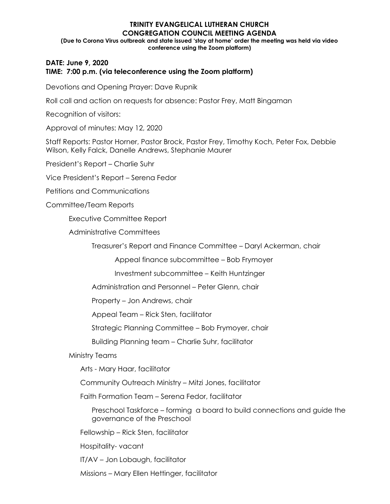## **TRINITY EVANGELICAL LUTHERAN CHURCH CONGREGATION COUNCIL MEETING AGENDA (Due to Corona Virus outbreak and state issued 'stay at home' order the meeting was held via video conference using the Zoom platform)**

## **DATE: June 9, 2020 TIME: 7:00 p.m. (via teleconference using the Zoom platform)**

Devotions and Opening Prayer: Dave Rupnik

Roll call and action on requests for absence: Pastor Frey, Matt Bingaman

Recognition of visitors:

Approval of minutes: May 12, 2020

Staff Reports: Pastor Horner, Pastor Brock, Pastor Frey, Timothy Koch, Peter Fox, Debbie Wilson, Kelly Falck, Danelle Andrews, Stephanie Maurer

President's Report – Charlie Suhr

Vice President's Report – Serena Fedor

Petitions and Communications

Committee/Team Reports

Executive Committee Report

Administrative Committees

Treasurer's Report and Finance Committee – Daryl Ackerman, chair

Appeal finance subcommittee – Bob Frymoyer

Investment subcommittee – Keith Huntzinger

Administration and Personnel – Peter Glenn, chair

Property – Jon Andrews, chair

Appeal Team – Rick Sten, facilitator

Strategic Planning Committee – Bob Frymoyer, chair

Building Planning team – Charlie Suhr, facilitator

Ministry Teams

Arts - Mary Haar, facilitator

Community Outreach Ministry – Mitzi Jones, facilitator

Faith Formation Team – Serena Fedor, facilitator

Preschool Taskforce – forming a board to build connections and guide the governance of the Preschool

Fellowship – Rick Sten, facilitator

Hospitality- vacant

IT/AV – Jon Lobaugh, facilitator

Missions – Mary Ellen Hettinger, facilitator